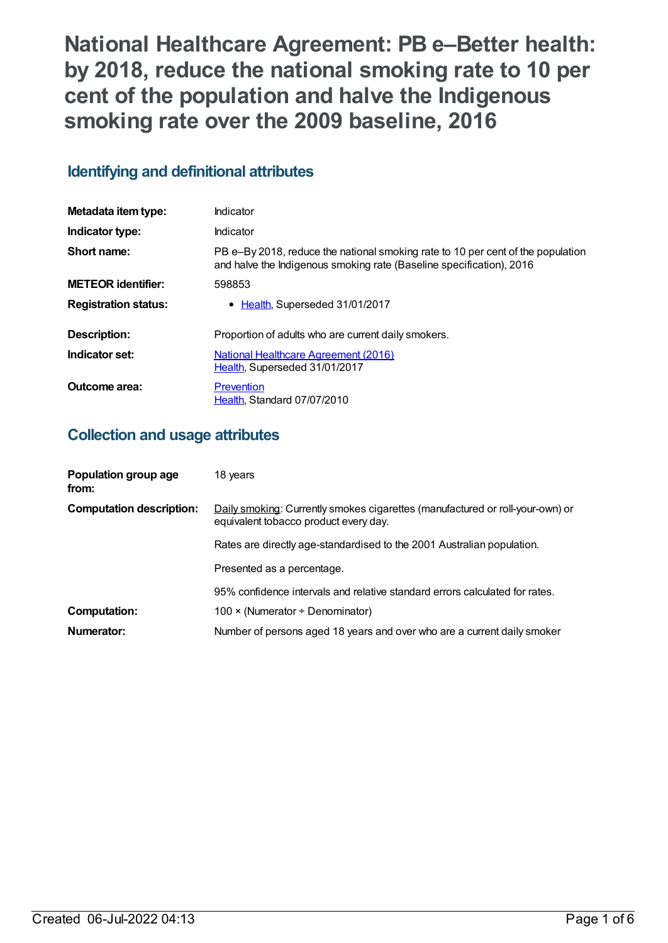**National Healthcare Agreement: PB e–Better health: by 2018, reduce the national smoking rate to 10 per cent of the population and halve the Indigenous smoking rate over the 2009 baseline, 2016**

# **Identifying and definitional attributes**

| Metadata item type:         | Indicator                                                                                                                                               |
|-----------------------------|---------------------------------------------------------------------------------------------------------------------------------------------------------|
| Indicator type:             | Indicator                                                                                                                                               |
| Short name:                 | PB e-By 2018, reduce the national smoking rate to 10 per cent of the population<br>and halve the Indigenous smoking rate (Baseline specification), 2016 |
| <b>METEOR identifier:</b>   | 598853                                                                                                                                                  |
| <b>Registration status:</b> | • Health, Superseded 31/01/2017                                                                                                                         |
| Description:                | Proportion of adults who are current daily smokers.                                                                                                     |
| Indicator set:              | National Healthcare Agreement (2016)<br>Health, Superseded 31/01/2017                                                                                   |
| Outcome area:               | Prevention<br>Health, Standard 07/07/2010                                                                                                               |

## **Collection and usage attributes**

| Population group age<br>from:   | 18 years                                                                                                               |
|---------------------------------|------------------------------------------------------------------------------------------------------------------------|
| <b>Computation description:</b> | Daily smoking: Currently smokes cigarettes (manufactured or roll-your-own) or<br>equivalent tobacco product every day. |
|                                 | Rates are directly age-standardised to the 2001 Australian population.                                                 |
|                                 | Presented as a percentage.                                                                                             |
|                                 | 95% confidence intervals and relative standard errors calculated for rates.                                            |
| <b>Computation:</b>             | 100 $\times$ (Numerator ÷ Denominator)                                                                                 |
| Numerator:                      | Number of persons aged 18 years and over who are a current daily smoker                                                |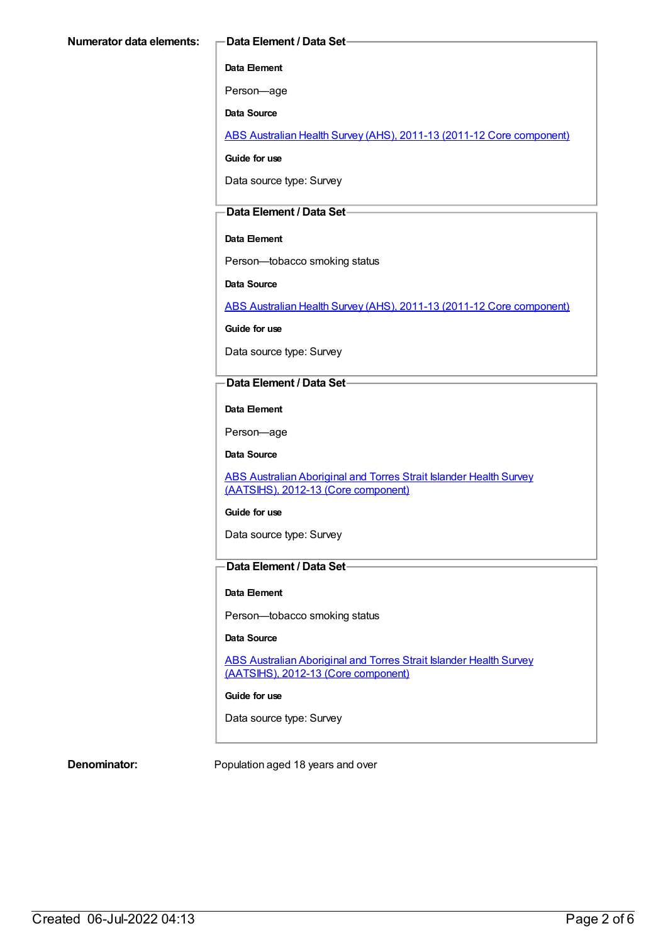#### **Data Element**

Person—age

**Data Source**

ABS Australian Health Survey (AHS), 2011-13 (2011-12 Core [component\)](https://meteor.aihw.gov.au/content/585476)

**Guide for use**

Data source type: Survey

### **Data Element / Data Set**

### **Data Element**

Person—tobacco smoking status

**Data Source**

ABS Australian Health Survey (AHS), 2011-13 (2011-12 Core [component\)](https://meteor.aihw.gov.au/content/585476)

**Guide for use**

Data source type: Survey

### **Data Element / Data Set**

**Data Element**

Person—age

**Data Source**

ABS Australian Aboriginal and Torres Strait Islander Health Survey (AATSIHS), 2012-13 (Core [component\)](https://meteor.aihw.gov.au/content/585485)

#### **Guide for use**

Data source type: Survey

## **Data Element / Data Set**

#### **Data Element**

Person—tobacco smoking status

#### **Data Source**

ABS Australian Aboriginal and Torres Strait Islander Health Survey (AATSIHS), 2012-13 (Core [component\)](https://meteor.aihw.gov.au/content/585485)

#### **Guide for use**

Data source type: Survey

**Denominator:** Population aged 18 years and over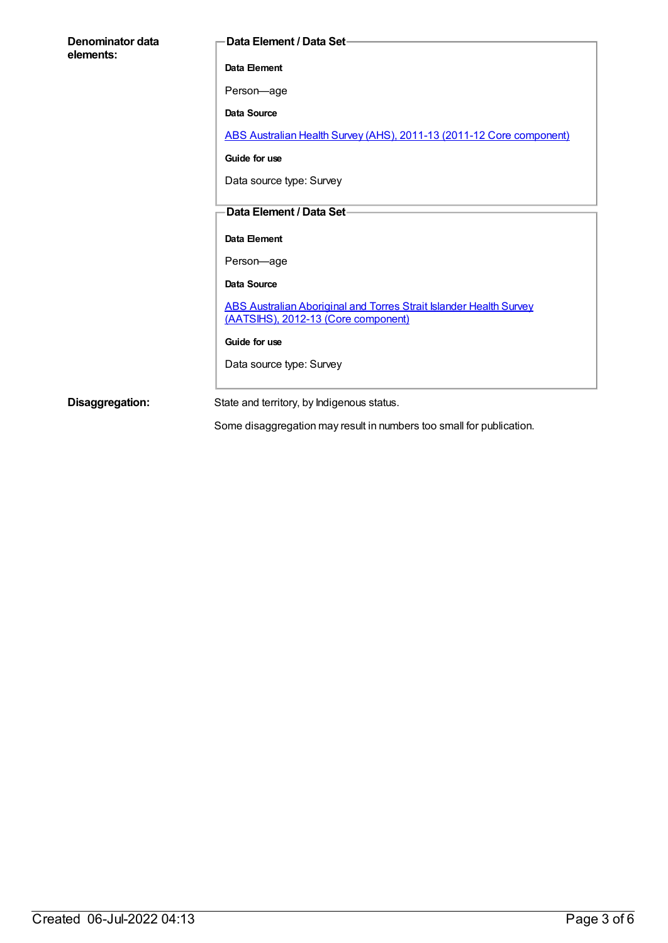| Denominator data<br>elements: | <b>Data Element / Data Set-</b>                                                                           |
|-------------------------------|-----------------------------------------------------------------------------------------------------------|
|                               |                                                                                                           |
|                               | Data Element                                                                                              |
|                               | Person-age                                                                                                |
|                               | <b>Data Source</b>                                                                                        |
|                               | ABS Australian Health Survey (AHS), 2011-13 (2011-12 Core component)                                      |
|                               | Guide for use                                                                                             |
|                               | Data source type: Survey                                                                                  |
|                               |                                                                                                           |
|                               | Data Element / Data Set-                                                                                  |
|                               | Data Element                                                                                              |
|                               | Person-age                                                                                                |
|                               | Data Source                                                                                               |
|                               | ABS Australian Aboriginal and Torres Strait Islander Health Survey<br>(AATSIHS), 2012-13 (Core component) |
|                               | Guide for use                                                                                             |
|                               | Data source type: Survey                                                                                  |
|                               |                                                                                                           |
| Disaggregation:               | State and territory, by Indigenous status.                                                                |

Some disaggregation may result in numbers too small for publication.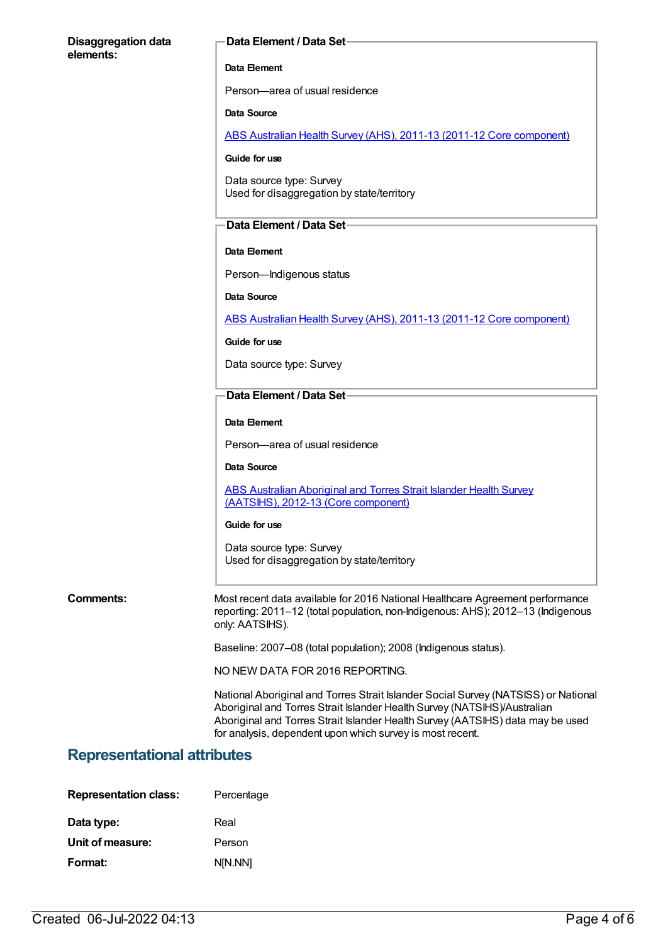#### **Disaggregation data elements:**

#### **Data Element / Data Set**

#### **Data Element**

Person—area of usual residence

#### **Data Source**

ABS Australian Health Survey (AHS), 2011-13 (2011-12 Core [component\)](https://meteor.aihw.gov.au/content/585476)

#### **Guide for use**

Data source type: Survey Used for disaggregation by state/territory

#### **Data Element / Data Set**

#### **Data Element**

Person—Indigenous status

**Data Source**

ABS Australian Health Survey (AHS), 2011-13 (2011-12 Core [component\)](https://meteor.aihw.gov.au/content/585476)

#### **Guide for use**

Data source type: Survey

#### **Data Element / Data Set**

#### **Data Element**

Person—area of usual residence

#### **Data Source**

ABS Australian [Aboriginal](https://meteor.aihw.gov.au/content/585485) and Torres Strait Islander Health Survey (AATSIHS), 2012-13 (Core component)

#### **Guide for use**

Data source type: Survey Used for disaggregation by state/territory

**Comments:** Most recent data available for 2016 National Healthcare Agreement performance reporting: 2011–12 (total population, non-Indigenous: AHS); 2012–13 (Indigenous only: AATSIHS).

Baseline: 2007–08 (total population); 2008 (Indigenous status).

NO NEW DATA FOR 2016 REPORTING.

National Aboriginal and Torres Strait Islander Social Survey (NATSISS) or National Aboriginal and Torres Strait Islander Health Survey (NATSIHS)/Australian Aboriginal and Torres Strait Islander Health Survey (AATSIHS) data may be used for analysis, dependent upon which survey is most recent.

## **Representational attributes**

| <b>Representation class:</b> | Percentage |
|------------------------------|------------|
| Data type:                   | Real       |
| Unit of measure:             | Person     |
| Format:                      | N[N.NN]    |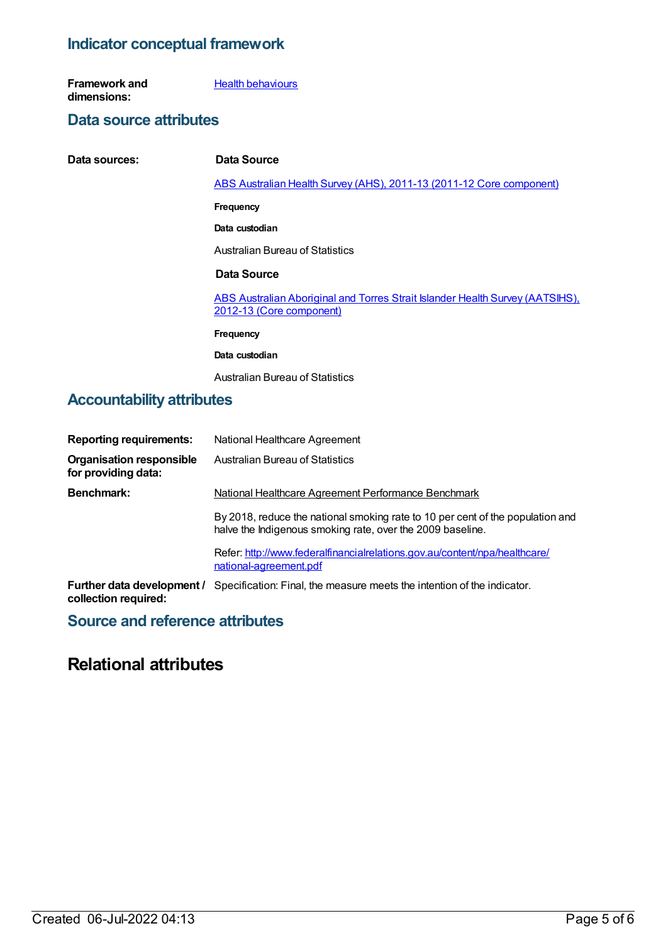## **Indicator conceptual framework**

**Framework and dimensions: Health [behaviours](https://meteor.aihw.gov.au/content/392579)** 

## **Data source attributes**

| Data sources: | Data Source                                                                                               |
|---------------|-----------------------------------------------------------------------------------------------------------|
|               | ABS Australian Health Survey (AHS), 2011-13 (2011-12 Core component)                                      |
|               | <b>Frequency</b>                                                                                          |
|               | Data custodian                                                                                            |
|               | Australian Bureau of Statistics                                                                           |
|               | Data Source                                                                                               |
|               | ABS Australian Aboriginal and Torres Strait Islander Health Survey (AATSIHS).<br>2012-13 (Core component) |
|               | <b>Frequency</b>                                                                                          |
|               | Data custodian                                                                                            |
|               | Australian Bureau of Statistics                                                                           |

## **Accountability attributes**

| <b>Reporting requirements:</b>                         | National Healthcare Agreement                                                                                                                |
|--------------------------------------------------------|----------------------------------------------------------------------------------------------------------------------------------------------|
| <b>Organisation responsible</b><br>for providing data: | Australian Bureau of Statistics                                                                                                              |
| <b>Benchmark:</b>                                      | National Healthcare Agreement Performance Benchmark                                                                                          |
|                                                        | By 2018, reduce the national smoking rate to 10 per cent of the population and<br>halve the Indigenous smoking rate, over the 2009 baseline. |
|                                                        | Refer: http://www.federalfinancialrelations.gov.au/content/npa/healthcare/<br>national-agreement.pdf                                         |
| Further data development /<br>collection required:     | Specification: Final, the measure meets the intention of the indicator.                                                                      |

## **Source and reference attributes**

# **Relational attributes**